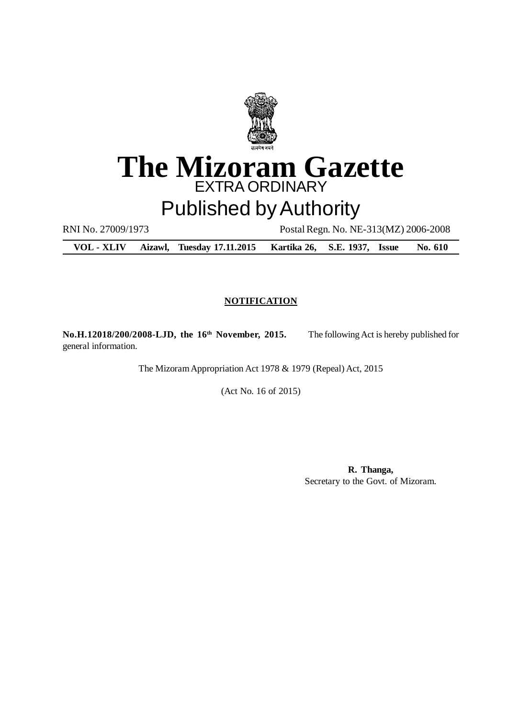

# **The Mizoram Gazette** EXTRA ORDINARY

# Published by Authority

RNI No. 27009/1973 Postal Regn. No. NE-313(MZ) 2006-2008

**VOL - XLIV Aizawl, Tuesday 17.11.2015 Kartika 26, S.E. 1937, Issue No. 610**

## **NOTIFICATION**

**No.H.12018/200/2008-LJD, the 16th November, 2015.** The following Act is hereby published for general information.

The Mizoram Appropriation Act 1978 & 1979 (Repeal) Act, 2015

(Act No. 16 of 2015)

**R. Thanga,** Secretary to the Govt. of Mizoram.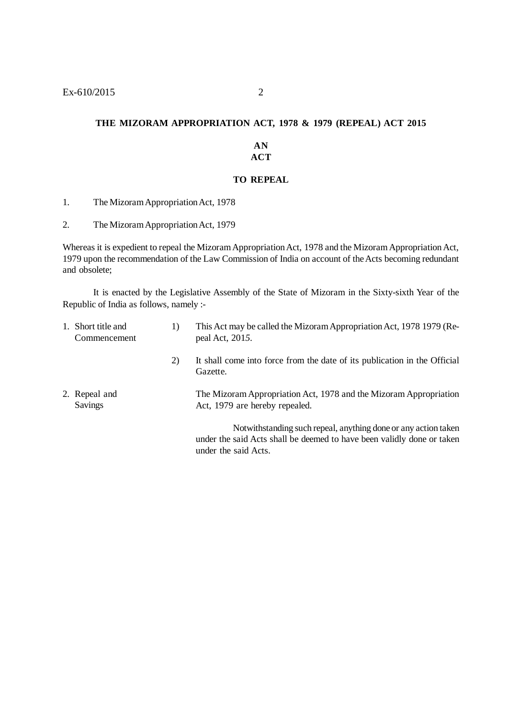#### **THE MIZORAM APPROPRIATION ACT, 1978 & 1979 (REPEAL) ACT 2015**

#### **AN ACT**

#### **TO REPEAL**

1. The Mizoram Appropriation Act, 1978

2. The Mizoram Appropriation Act, 1979

Whereas it is expedient to repeal the Mizoram Appropriation Act, 1978 and the Mizoram Appropriation Act, 1979 upon the recommendation of the Law Commission of India on account of the Acts becoming redundant and obsolete;

It is enacted by the Legislative Assembly of the State of Mizoram in the Sixty-sixth Year of the Republic of India as follows, namely :-

| 1. Short title and<br>Commencement | 1) | This Act may be called the Mizoram Appropriation Act, 1978 1979 (Re-<br>peal Act, 2015.                                                                            |
|------------------------------------|----|--------------------------------------------------------------------------------------------------------------------------------------------------------------------|
|                                    | 2) | It shall come into force from the date of its publication in the Official<br>Gazette.                                                                              |
| 2. Repeal and<br><b>Savings</b>    |    | The Mizoram Appropriation Act, 1978 and the Mizoram Appropriation<br>Act, 1979 are hereby repealed.                                                                |
|                                    |    | Not with standing such repeal, anything done or any action taken<br>under the said Acts shall be deemed to have been validly done or taken<br>under the said Acts. |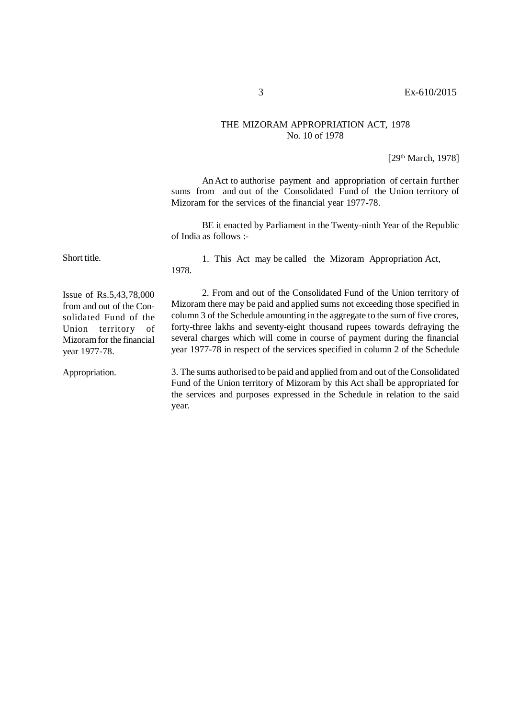#### THE MIZORAM APPROPRIATION ACT, 1978 No. 10 of 1978

[29th March, 1978]

An Act to authorise payment and appropriation of certain further sums from and out of the Consolidated Fund of the Union territory of Mizoram for the services of the financial year 1977-78.

BE it enacted by Parliament in the Twenty-ninth Year of the Republic of India as follows :-

Short title.

1. This Act may be called the Mizoram Appropriation Act, 1978.

Issue of Rs.5,43,78,000 from and out of the Consolidated Fund of the Union territory of Mizoram for the financial year 1977-78.

2. From and out of the Consolidated Fund of the Union territory of Mizoram there may be paid and applied sums not exceeding those specified in column 3 of the Schedule amounting in the aggregate to the sum of five crores, forty-three lakhs and seventy-eight thousand rupees towards defraying the several charges which will come in course of payment during the financial year 1977-78 in respect of the services specified in column 2 of the Schedule

3. The sums authorised to be paid and applied from and out of the Consolidated Fund of the Union territory of Mizoram by this Act shall be appropriated for the services and purposes expressed in the Schedule in relation to the said year. Appropriation.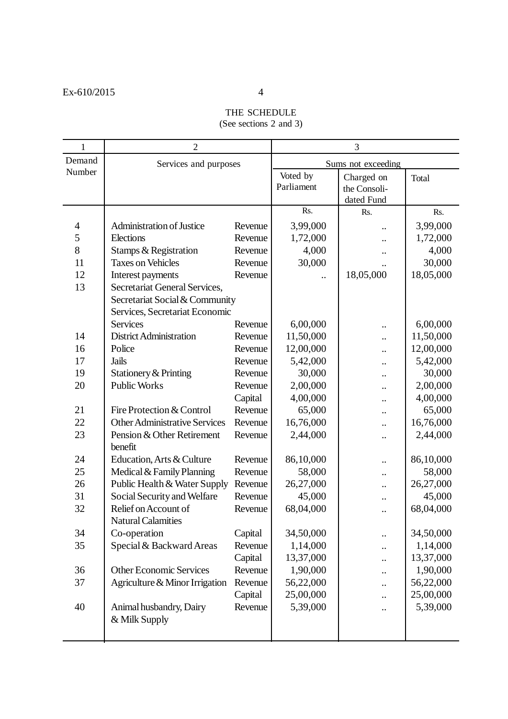# THE SCHEDULE

(See sections 2 and 3)

| $\mathbf{1}$   | $\overline{2}$                        | 3                  |            |                      |           |
|----------------|---------------------------------------|--------------------|------------|----------------------|-----------|
| Demand         | Services and purposes                 | Sums not exceeding |            |                      |           |
| Number         |                                       |                    | Voted by   | Charged on           | Total     |
|                |                                       |                    | Parliament | the Consoli-         |           |
|                |                                       |                    |            | dated Fund           |           |
|                |                                       |                    | Rs.        | Rs.                  | Rs.       |
| $\overline{4}$ | <b>Administration of Justice</b>      | Revenue            | 3,99,000   |                      | 3,99,000  |
| 5              | Elections                             | Revenue            | 1,72,000   |                      | 1,72,000  |
| 8              | Stamps & Registration                 | Revenue            | 4,000      |                      | 4,000     |
| 11             | <b>Taxes on Vehicles</b>              | Revenue            | 30,000     |                      | 30,000    |
| 12             | Interest payments                     | Revenue            |            | 18,05,000            | 18,05,000 |
| 13             | Secretariat General Services,         |                    |            |                      |           |
|                | Secretariat Social & Community        |                    |            |                      |           |
|                | Services, Secretariat Economic        |                    |            |                      |           |
|                | <b>Services</b>                       | Revenue            | 6,00,000   |                      | 6,00,000  |
| 14             | <b>District Administration</b>        | Revenue            | 11,50,000  |                      | 11,50,000 |
| 16             | Police                                | Revenue            | 12,00,000  |                      | 12,00,000 |
| 17             | <b>Jails</b>                          | Revenue            | 5,42,000   |                      | 5,42,000  |
| 19             | Stationery & Printing                 | Revenue            | 30,000     |                      | 30,000    |
| 20             | <b>Public Works</b>                   | Revenue            | 2,00,000   |                      | 2,00,000  |
|                |                                       | Capital            | 4,00,000   |                      | 4,00,000  |
| 21             | Fire Protection & Control             | Revenue            | 65,000     |                      | 65,000    |
| 22             | <b>Other Administrative Services</b>  | Revenue            | 16,76,000  |                      | 16,76,000 |
| 23             | Pension & Other Retirement<br>benefit | Revenue            | 2,44,000   | $\ddotsc$            | 2,44,000  |
| 24             | Education, Arts & Culture             | Revenue            | 86,10,000  | $\cdot$ .            | 86,10,000 |
| 25             | Medical & Family Planning             | Revenue            | 58,000     |                      | 58,000    |
| 26             | Public Health & Water Supply          | Revenue            | 26,27,000  |                      | 26,27,000 |
| 31             | Social Security and Welfare           | Revenue            | 45,000     |                      | 45,000    |
| 32             | Relief on Account of                  | Revenue            | 68,04,000  |                      | 68,04,000 |
|                | <b>Natural Calamities</b>             |                    |            |                      |           |
| 34             | Co-operation                          | Capital            | 34,50,000  | $\ddot{\phantom{0}}$ | 34,50,000 |
| 35             | Special & Backward Areas              | Revenue            | 1,14,000   |                      | 1,14,000  |
|                |                                       | Capital            | 13,37,000  | $\cdot \cdot$        | 13,37,000 |
| 36             | <b>Other Economic Services</b>        | Revenue            | 1,90,000   |                      | 1,90,000  |
| 37             | Agriculture & Minor Irrigation        | Revenue            | 56,22,000  | $\ddot{\phantom{0}}$ | 56,22,000 |
|                |                                       | Capital            | 25,00,000  |                      | 25,00,000 |
| 40             | Animal husbandry, Dairy               | Revenue            | 5,39,000   |                      | 5,39,000  |
|                | & Milk Supply                         |                    |            |                      |           |
|                |                                       |                    |            |                      |           |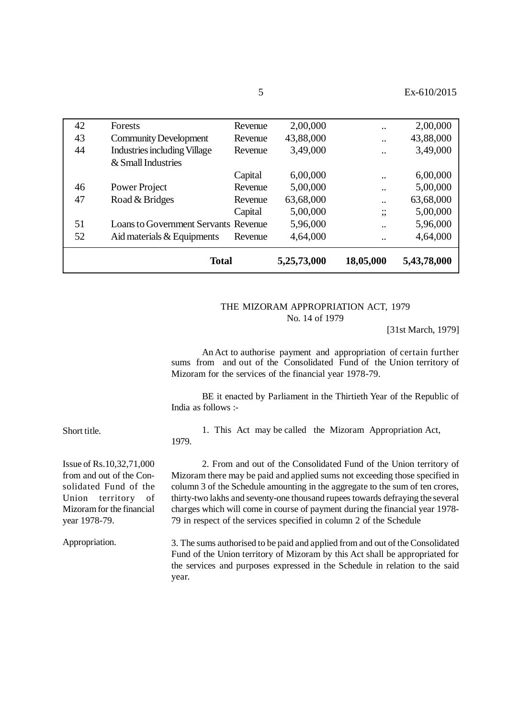|    | <b>Total</b>                                |         | 5,25,73,000 | 18,05,000                 | 5,43,78,000 |
|----|---------------------------------------------|---------|-------------|---------------------------|-------------|
| 52 | Aid materials & Equipments                  | Revenue | 4,64,000    | $\ddot{\phantom{0}}$      | 4,64,000    |
| 51 | <b>Loans to Government Servants Revenue</b> |         | 5,96,000    | $\ddot{\phantom{0}}$      | 5,96,000    |
|    |                                             | Capital | 5,00,000    | $\bullet\bullet$<br>,,    | 5,00,000    |
| 47 | Road & Bridges                              | Revenue | 63,68,000   | $\cdot$                   | 63,68,000   |
| 46 | Power Project                               | Revenue | 5,00,000    | $\ddot{\phantom{0}}\cdot$ | 5,00,000    |
|    |                                             | Capital | 6,00,000    | $\cdot$ $\cdot$           | 6,00,000    |
|    | & Small Industries                          |         |             |                           |             |
| 44 | <b>Industries including Village</b>         | Revenue | 3,49,000    | $\cdot$ $\cdot$           | 3,49,000    |
| 43 | <b>Community Development</b>                | Revenue | 43,88,000   | $\ddot{\phantom{0}}\cdot$ | 43,88,000   |
| 42 | Forests                                     | Revenue | 2,00,000    | $\ddot{\phantom{0}}\cdot$ | 2,00,000    |
|    |                                             |         |             |                           |             |

#### THE MIZORAM APPROPRIATION ACT, 1979 No. 14 of 1979

[31st March, 1979]

An Act to authorise payment and appropriation of certain further sums from and out of the Consolidated Fund of the Union territory of Mizoram for the services of the financial year 1978-79.

BE it enacted by Parliament in the Thirtieth Year of the Republic of India as follows :-

Short title.

1. This Act may be called the Mizoram Appropriation Act, 1979.

Issue of Rs.10,32,71,000 from and out of the Consolidated Fund of the Union territory of Mizoram for the financial year 1978-79.

Appropriation.

2. From and out of the Consolidated Fund of the Union territory of Mizoram there may be paid and applied sums not exceeding those specified in column 3 of the Schedule amounting in the aggregate to the sum of ten crores, thirty-two lakhs and seventy-one thousand rupees towards defraying the several charges which will come in course of payment during the financial year 1978- 79 in respect of the services specified in column 2 of the Schedule

3. The sums authorised to be paid and applied from and out of the Consolidated Fund of the Union territory of Mizoram by this Act shall be appropriated for the services and purposes expressed in the Schedule in relation to the said year.